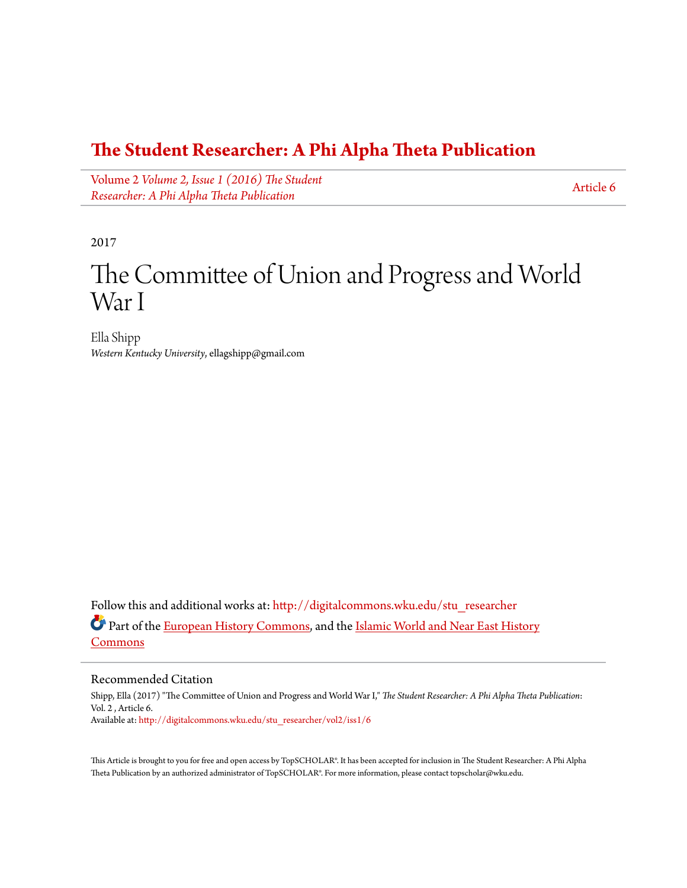### **[The Student Researcher: A Phi Alpha Theta Publication](http://digitalcommons.wku.edu/stu_researcher?utm_source=digitalcommons.wku.edu%2Fstu_researcher%2Fvol2%2Fiss1%2F6&utm_medium=PDF&utm_campaign=PDFCoverPages)**

Volume 2 *[Volume 2, Issue 1 \(2016\) The Student](http://digitalcommons.wku.edu/stu_researcher/vol2?utm_source=digitalcommons.wku.edu%2Fstu_researcher%2Fvol2%2Fiss1%2F6&utm_medium=PDF&utm_campaign=PDFCoverPages) [Researcher: A Phi Alpha Theta Publication](http://digitalcommons.wku.edu/stu_researcher/vol2?utm_source=digitalcommons.wku.edu%2Fstu_researcher%2Fvol2%2Fiss1%2F6&utm_medium=PDF&utm_campaign=PDFCoverPages)*

[Article 6](http://digitalcommons.wku.edu/stu_researcher/vol2/iss1/6?utm_source=digitalcommons.wku.edu%2Fstu_researcher%2Fvol2%2Fiss1%2F6&utm_medium=PDF&utm_campaign=PDFCoverPages)

2017

# The Committee of Union and Progress and World War I

Ella Shipp *Western Kentucky University*, ellagshipp@gmail.com

Follow this and additional works at: [http://digitalcommons.wku.edu/stu\\_researcher](http://digitalcommons.wku.edu/stu_researcher?utm_source=digitalcommons.wku.edu%2Fstu_researcher%2Fvol2%2Fiss1%2F6&utm_medium=PDF&utm_campaign=PDFCoverPages) Part of the [European History Commons](http://network.bepress.com/hgg/discipline/492?utm_source=digitalcommons.wku.edu%2Fstu_researcher%2Fvol2%2Fiss1%2F6&utm_medium=PDF&utm_campaign=PDFCoverPages), and the [Islamic World and Near East History](http://network.bepress.com/hgg/discipline/493?utm_source=digitalcommons.wku.edu%2Fstu_researcher%2Fvol2%2Fiss1%2F6&utm_medium=PDF&utm_campaign=PDFCoverPages) [Commons](http://network.bepress.com/hgg/discipline/493?utm_source=digitalcommons.wku.edu%2Fstu_researcher%2Fvol2%2Fiss1%2F6&utm_medium=PDF&utm_campaign=PDFCoverPages)

#### Recommended Citation

Shipp, Ella (2017) "The Committee of Union and Progress and World War I," *The Student Researcher: A Phi Alpha Theta Publication*: Vol. 2 , Article 6. Available at: [http://digitalcommons.wku.edu/stu\\_researcher/vol2/iss1/6](http://digitalcommons.wku.edu/stu_researcher/vol2/iss1/6?utm_source=digitalcommons.wku.edu%2Fstu_researcher%2Fvol2%2Fiss1%2F6&utm_medium=PDF&utm_campaign=PDFCoverPages)

This Article is brought to you for free and open access by TopSCHOLAR®. It has been accepted for inclusion in The Student Researcher: A Phi Alpha Theta Publication by an authorized administrator of TopSCHOLAR®. For more information, please contact topscholar@wku.edu.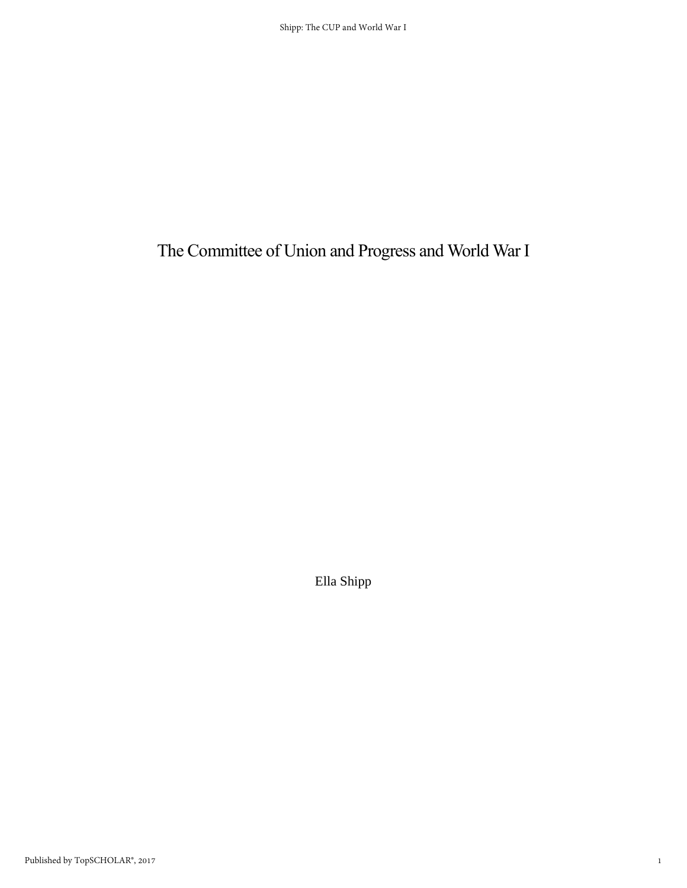## The Committee of Union and Progress and World War I

Ella Shipp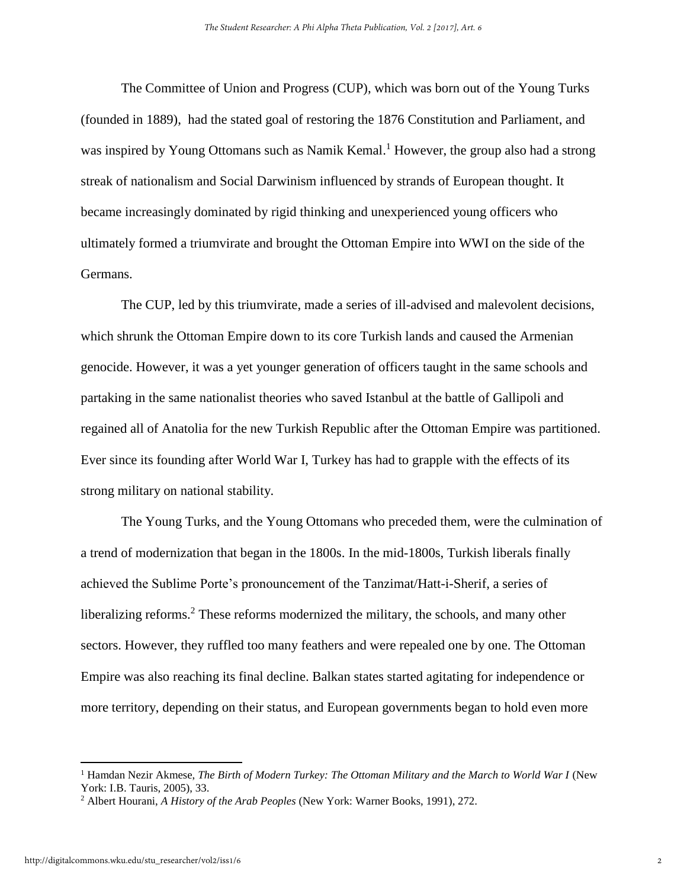The Committee of Union and Progress (CUP), which was born out of the Young Turks (founded in 1889), had the stated goal of restoring the 1876 Constitution and Parliament, and was inspired by Young Ottomans such as Namik Kemal.<sup>1</sup> However, the group also had a strong streak of nationalism and Social Darwinism influenced by strands of European thought. It became increasingly dominated by rigid thinking and unexperienced young officers who ultimately formed a triumvirate and brought the Ottoman Empire into WWI on the side of the Germans.

The CUP, led by this triumvirate, made a series of ill-advised and malevolent decisions, which shrunk the Ottoman Empire down to its core Turkish lands and caused the Armenian genocide. However, it was a yet younger generation of officers taught in the same schools and partaking in the same nationalist theories who saved Istanbul at the battle of Gallipoli and regained all of Anatolia for the new Turkish Republic after the Ottoman Empire was partitioned. Ever since its founding after World War I, Turkey has had to grapple with the effects of its strong military on national stability.

 The Young Turks, and the Young Ottomans who preceded them, were the culmination of a trend of modernization that began in the 1800s. In the mid-1800s, Turkish liberals finally achieved the Sublime Porte's pronouncement of the Tanzimat/Hatt-i-Sherif, a series of liberalizing reforms.<sup>2</sup> These reforms modernized the military, the schools, and many other sectors. However, they ruffled too many feathers and were repealed one by one. The Ottoman Empire was also reaching its final decline. Balkan states started agitating for independence or more territory, depending on their status, and European governments began to hold even more

<sup>&</sup>lt;sup>1</sup> Hamdan Nezir Akmese, *The Birth of Modern Turkey: The Ottoman Military and the March to World War I* (New York: I.B. Tauris, 2005), 33.

<sup>2</sup> Albert Hourani, *A History of the Arab Peoples* (New York: Warner Books, 1991), 272.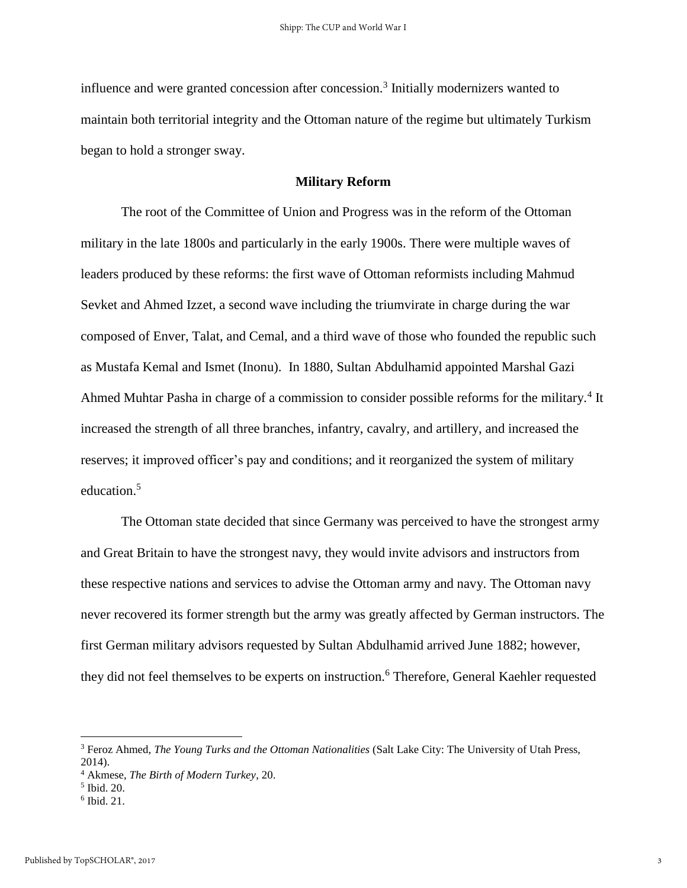influence and were granted concession after concession.<sup>3</sup> Initially modernizers wanted to maintain both territorial integrity and the Ottoman nature of the regime but ultimately Turkism began to hold a stronger sway.

#### **Military Reform**

The root of the Committee of Union and Progress was in the reform of the Ottoman military in the late 1800s and particularly in the early 1900s. There were multiple waves of leaders produced by these reforms: the first wave of Ottoman reformists including Mahmud Sevket and Ahmed Izzet, a second wave including the triumvirate in charge during the war composed of Enver, Talat, and Cemal, and a third wave of those who founded the republic such as Mustafa Kemal and Ismet (Inonu). In 1880, Sultan Abdulhamid appointed Marshal Gazi Ahmed Muhtar Pasha in charge of a commission to consider possible reforms for the military.<sup>4</sup> It increased the strength of all three branches, infantry, cavalry, and artillery, and increased the reserves; it improved officer's pay and conditions; and it reorganized the system of military education.<sup>5</sup>

The Ottoman state decided that since Germany was perceived to have the strongest army and Great Britain to have the strongest navy, they would invite advisors and instructors from these respective nations and services to advise the Ottoman army and navy. The Ottoman navy never recovered its former strength but the army was greatly affected by German instructors. The first German military advisors requested by Sultan Abdulhamid arrived June 1882; however, they did not feel themselves to be experts on instruction.<sup>6</sup> Therefore, General Kaehler requested

 $\overline{a}$ 

<sup>3</sup> Feroz Ahmed, *The Young Turks and the Ottoman Nationalities* (Salt Lake City: The University of Utah Press, 2014).

<sup>4</sup> Akmese, *The Birth of Modern Turkey*, 20.

<sup>5</sup> Ibid. 20.

<sup>6</sup> Ibid. 21.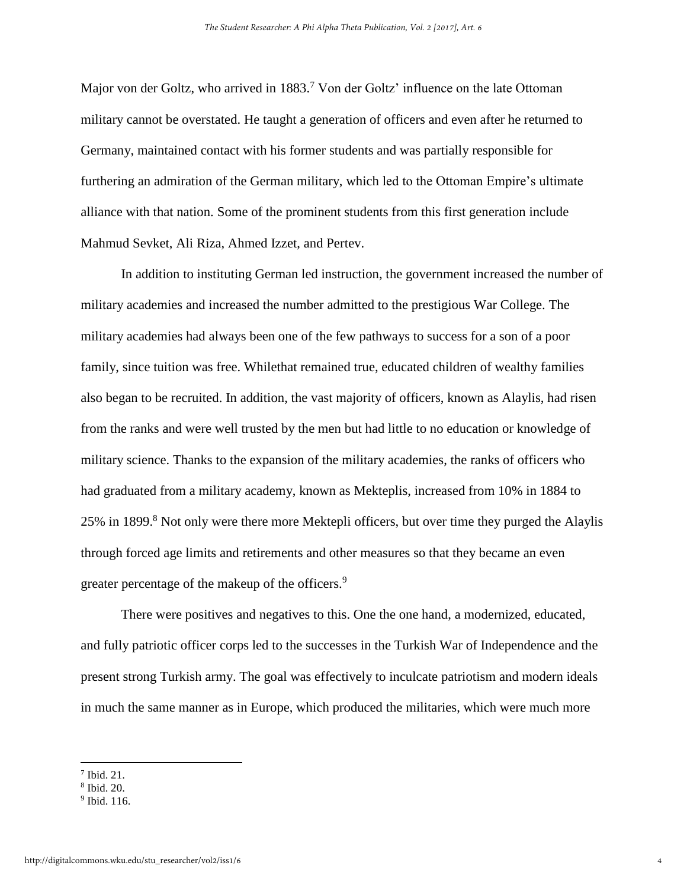Major von der Goltz, who arrived in 1883.<sup>7</sup> Von der Goltz' influence on the late Ottoman military cannot be overstated. He taught a generation of officers and even after he returned to Germany, maintained contact with his former students and was partially responsible for furthering an admiration of the German military, which led to the Ottoman Empire's ultimate alliance with that nation. Some of the prominent students from this first generation include Mahmud Sevket, Ali Riza, Ahmed Izzet, and Pertev.

 In addition to instituting German led instruction, the government increased the number of military academies and increased the number admitted to the prestigious War College. The military academies had always been one of the few pathways to success for a son of a poor family, since tuition was free. Whilethat remained true, educated children of wealthy families also began to be recruited. In addition, the vast majority of officers, known as Alaylis, had risen from the ranks and were well trusted by the men but had little to no education or knowledge of military science. Thanks to the expansion of the military academies, the ranks of officers who had graduated from a military academy, known as Mekteplis, increased from 10% in 1884 to 25% in 1899.<sup>8</sup> Not only were there more Mektepli officers, but over time they purged the Alaylis through forced age limits and retirements and other measures so that they became an even greater percentage of the makeup of the officers.<sup>9</sup>

 There were positives and negatives to this. One the one hand, a modernized, educated, and fully patriotic officer corps led to the successes in the Turkish War of Independence and the present strong Turkish army. The goal was effectively to inculcate patriotism and modern ideals in much the same manner as in Europe, which produced the militaries, which were much more

<sup>7</sup> Ibid. 21.

<sup>8</sup> Ibid. 20.

<sup>&</sup>lt;sup>9</sup> Ibid. 116.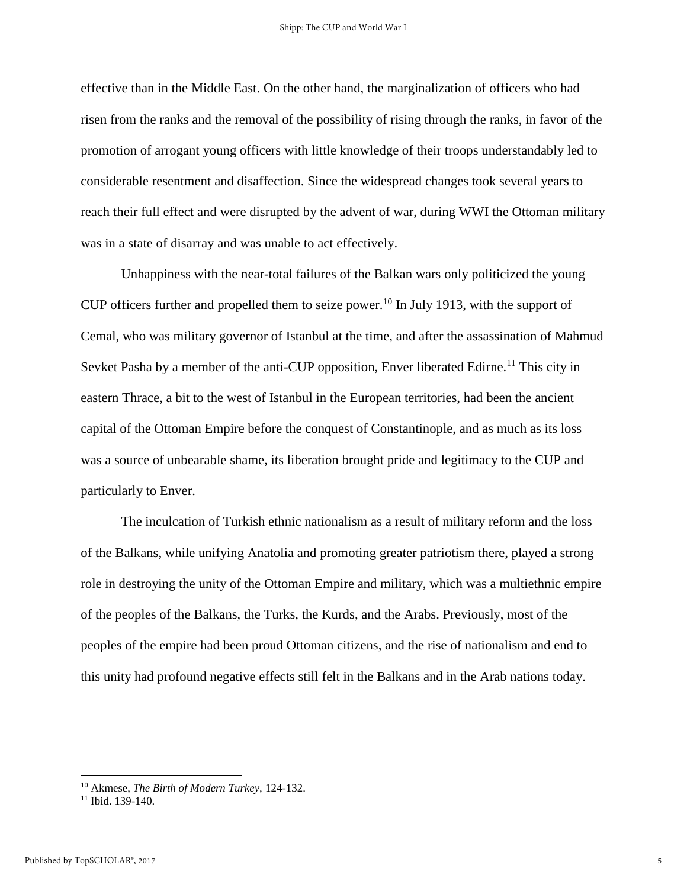effective than in the Middle East. On the other hand, the marginalization of officers who had risen from the ranks and the removal of the possibility of rising through the ranks, in favor of the promotion of arrogant young officers with little knowledge of their troops understandably led to considerable resentment and disaffection. Since the widespread changes took several years to reach their full effect and were disrupted by the advent of war, during WWI the Ottoman military was in a state of disarray and was unable to act effectively.

Unhappiness with the near-total failures of the Balkan wars only politicized the young CUP officers further and propelled them to seize power.<sup>10</sup> In July 1913, with the support of Cemal, who was military governor of Istanbul at the time, and after the assassination of Mahmud Sevket Pasha by a member of the anti-CUP opposition, Enver liberated Edirne.<sup>11</sup> This city in eastern Thrace, a bit to the west of Istanbul in the European territories, had been the ancient capital of the Ottoman Empire before the conquest of Constantinople, and as much as its loss was a source of unbearable shame, its liberation brought pride and legitimacy to the CUP and particularly to Enver.

The inculcation of Turkish ethnic nationalism as a result of military reform and the loss of the Balkans, while unifying Anatolia and promoting greater patriotism there, played a strong role in destroying the unity of the Ottoman Empire and military, which was a multiethnic empire of the peoples of the Balkans, the Turks, the Kurds, and the Arabs. Previously, most of the peoples of the empire had been proud Ottoman citizens, and the rise of nationalism and end to this unity had profound negative effects still felt in the Balkans and in the Arab nations today.

<sup>10</sup> Akmese, *The Birth of Modern Turkey,* 124-132.

<sup>&</sup>lt;sup>11</sup> Ibid. 139-140.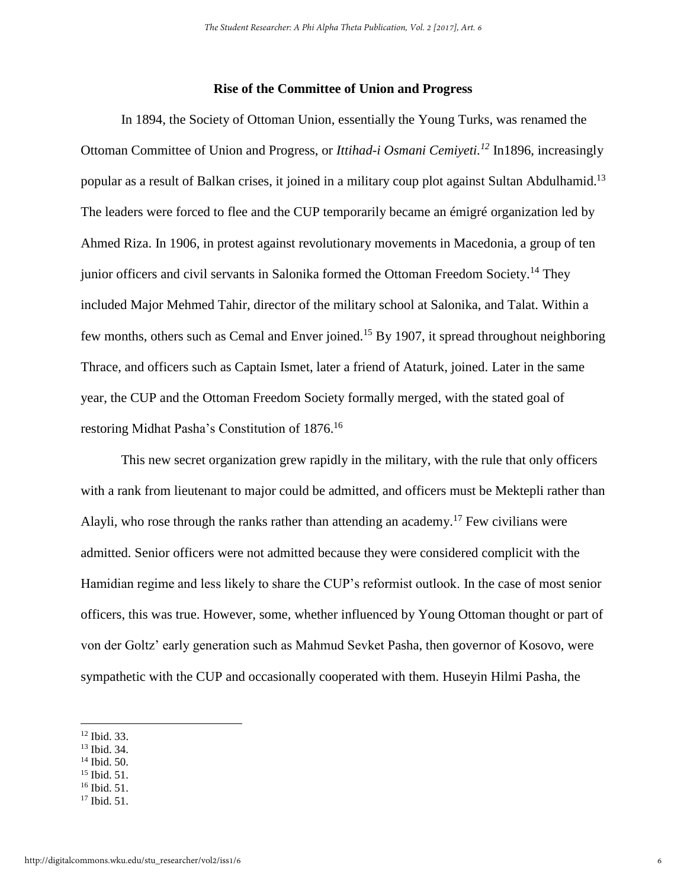#### **Rise of the Committee of Union and Progress**

In 1894, the Society of Ottoman Union, essentially the Young Turks, was renamed the Ottoman Committee of Union and Progress, or *Ittihad-i Osmani Cemiyeti.<sup>12</sup>* In1896, increasingly popular as a result of Balkan crises, it joined in a military coup plot against Sultan Abdulhamid.<sup>13</sup> The leaders were forced to flee and the CUP temporarily became an émigré organization led by Ahmed Riza. In 1906, in protest against revolutionary movements in Macedonia, a group of ten junior officers and civil servants in Salonika formed the Ottoman Freedom Society.<sup>14</sup> They included Major Mehmed Tahir, director of the military school at Salonika, and Talat. Within a few months, others such as Cemal and Enver joined.<sup>15</sup> By 1907, it spread throughout neighboring Thrace, and officers such as Captain Ismet, later a friend of Ataturk, joined. Later in the same year, the CUP and the Ottoman Freedom Society formally merged, with the stated goal of restoring Midhat Pasha's Constitution of 1876.<sup>16</sup>

This new secret organization grew rapidly in the military, with the rule that only officers with a rank from lieutenant to major could be admitted, and officers must be Mektepli rather than Alayli, who rose through the ranks rather than attending an academy.<sup>17</sup> Few civilians were admitted. Senior officers were not admitted because they were considered complicit with the Hamidian regime and less likely to share the CUP's reformist outlook. In the case of most senior officers, this was true. However, some, whether influenced by Young Ottoman thought or part of von der Goltz' early generation such as Mahmud Sevket Pasha, then governor of Kosovo, were sympathetic with the CUP and occasionally cooperated with them. Huseyin Hilmi Pasha, the

l

- <sup>13</sup> Ibid. 34.
- <sup>14</sup> Ibid. 50.
- <sup>15</sup> Ibid. 51.
- <sup>16</sup> Ibid. 51.
- <sup>17</sup> Ibid. 51.

<sup>12</sup> Ibid. 33.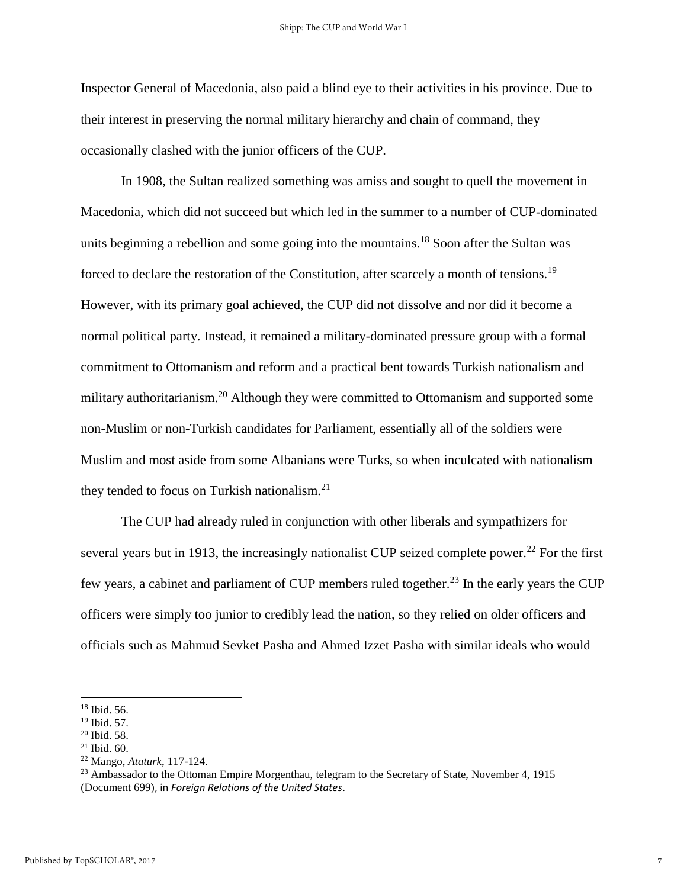Inspector General of Macedonia, also paid a blind eye to their activities in his province. Due to their interest in preserving the normal military hierarchy and chain of command, they occasionally clashed with the junior officers of the CUP.

In 1908, the Sultan realized something was amiss and sought to quell the movement in Macedonia, which did not succeed but which led in the summer to a number of CUP-dominated units beginning a rebellion and some going into the mountains.<sup>18</sup> Soon after the Sultan was forced to declare the restoration of the Constitution, after scarcely a month of tensions.<sup>19</sup> However, with its primary goal achieved, the CUP did not dissolve and nor did it become a normal political party. Instead, it remained a military-dominated pressure group with a formal commitment to Ottomanism and reform and a practical bent towards Turkish nationalism and military authoritarianism.<sup>20</sup> Although they were committed to Ottomanism and supported some non-Muslim or non-Turkish candidates for Parliament, essentially all of the soldiers were Muslim and most aside from some Albanians were Turks, so when inculcated with nationalism they tended to focus on Turkish nationalism.<sup>21</sup>

The CUP had already ruled in conjunction with other liberals and sympathizers for several years but in 1913, the increasingly nationalist CUP seized complete power.<sup>22</sup> For the first few years, a cabinet and parliament of CUP members ruled together.<sup>23</sup> In the early years the CUP officers were simply too junior to credibly lead the nation, so they relied on older officers and officials such as Mahmud Sevket Pasha and Ahmed Izzet Pasha with similar ideals who would

l

<sup>18</sup> Ibid. 56.

<sup>19</sup> Ibid. 57.

<sup>20</sup> Ibid. 58.

<sup>21</sup> Ibid. 60.

<sup>22</sup> Mango, *Ataturk*, 117-124.

<sup>&</sup>lt;sup>23</sup> Ambassador to the Ottoman Empire Morgenthau, telegram to the Secretary of State, November 4, 1915 (Document 699), in *Foreign Relations of the United States*.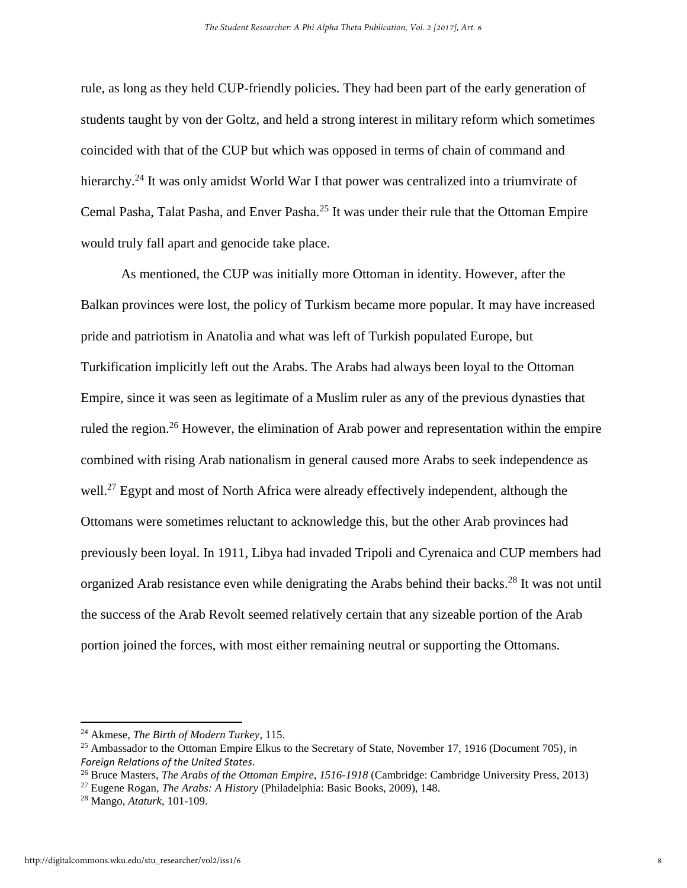rule, as long as they held CUP-friendly policies. They had been part of the early generation of students taught by von der Goltz, and held a strong interest in military reform which sometimes coincided with that of the CUP but which was opposed in terms of chain of command and hierarchy.<sup>24</sup> It was only amidst World War I that power was centralized into a triumvirate of Cemal Pasha, Talat Pasha, and Enver Pasha.<sup>25</sup> It was under their rule that the Ottoman Empire would truly fall apart and genocide take place.

 As mentioned, the CUP was initially more Ottoman in identity. However, after the Balkan provinces were lost, the policy of Turkism became more popular. It may have increased pride and patriotism in Anatolia and what was left of Turkish populated Europe, but Turkification implicitly left out the Arabs. The Arabs had always been loyal to the Ottoman Empire, since it was seen as legitimate of a Muslim ruler as any of the previous dynasties that ruled the region.<sup>26</sup> However, the elimination of Arab power and representation within the empire combined with rising Arab nationalism in general caused more Arabs to seek independence as well.<sup>27</sup> Egypt and most of North Africa were already effectively independent, although the Ottomans were sometimes reluctant to acknowledge this, but the other Arab provinces had previously been loyal. In 1911, Libya had invaded Tripoli and Cyrenaica and CUP members had organized Arab resistance even while denigrating the Arabs behind their backs.<sup>28</sup> It was not until the success of the Arab Revolt seemed relatively certain that any sizeable portion of the Arab portion joined the forces, with most either remaining neutral or supporting the Ottomans.

<sup>24</sup> Akmese, *The Birth of Modern Turkey*, 115.

<sup>&</sup>lt;sup>25</sup> Ambassador to the Ottoman Empire Elkus to the Secretary of State, November 17, 1916 (Document 705), in *Foreign Relations of the United States*.

<sup>26</sup> Bruce Masters, *The Arabs of the Ottoman Empire, 1516-1918* (Cambridge: Cambridge University Press, 2013)

<sup>27</sup> Eugene Rogan, *The Arabs: A History* (Philadelphia: Basic Books, 2009), 148.

<sup>28</sup> Mango, *Ataturk*, 101-109.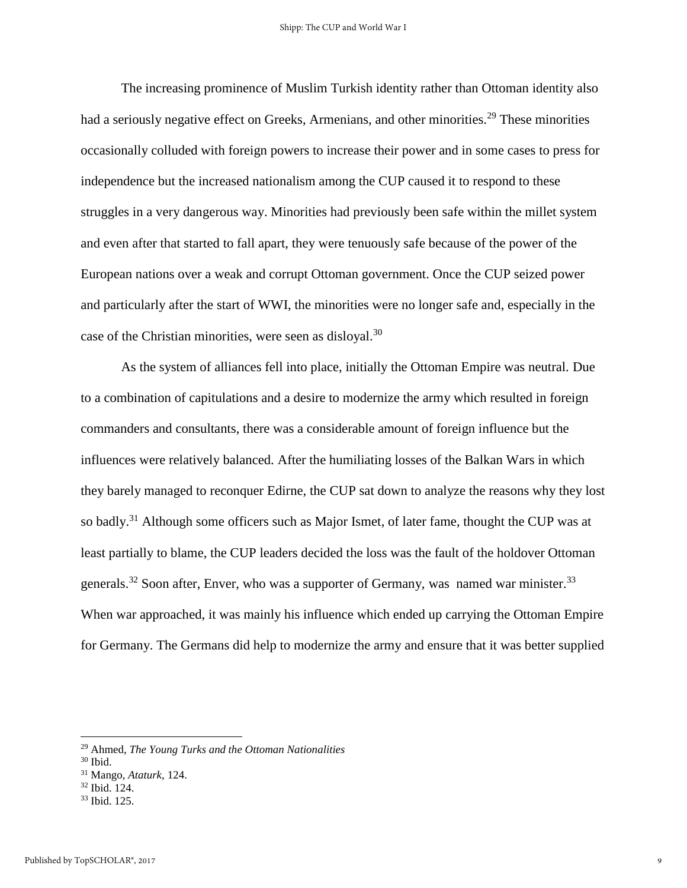The increasing prominence of Muslim Turkish identity rather than Ottoman identity also had a seriously negative effect on Greeks, Armenians, and other minorities.<sup>29</sup> These minorities occasionally colluded with foreign powers to increase their power and in some cases to press for independence but the increased nationalism among the CUP caused it to respond to these struggles in a very dangerous way. Minorities had previously been safe within the millet system and even after that started to fall apart, they were tenuously safe because of the power of the European nations over a weak and corrupt Ottoman government. Once the CUP seized power and particularly after the start of WWI, the minorities were no longer safe and, especially in the case of the Christian minorities, were seen as disloyal.<sup>30</sup>

 As the system of alliances fell into place, initially the Ottoman Empire was neutral. Due to a combination of capitulations and a desire to modernize the army which resulted in foreign commanders and consultants, there was a considerable amount of foreign influence but the influences were relatively balanced. After the humiliating losses of the Balkan Wars in which they barely managed to reconquer Edirne, the CUP sat down to analyze the reasons why they lost so badly.<sup>31</sup> Although some officers such as Major Ismet, of later fame, thought the CUP was at least partially to blame, the CUP leaders decided the loss was the fault of the holdover Ottoman generals.<sup>32</sup> Soon after, Enver, who was a supporter of Germany, was named war minister.<sup>33</sup> When war approached, it was mainly his influence which ended up carrying the Ottoman Empire for Germany. The Germans did help to modernize the army and ensure that it was better supplied

 $\overline{a}$ 

<sup>29</sup> Ahmed, *The Young Turks and the Ottoman Nationalities*

 $30$  Ibid.

<sup>31</sup> Mango, *Ataturk*, 124.

<sup>32</sup> Ibid. 124.

<sup>33</sup> Ibid. 125.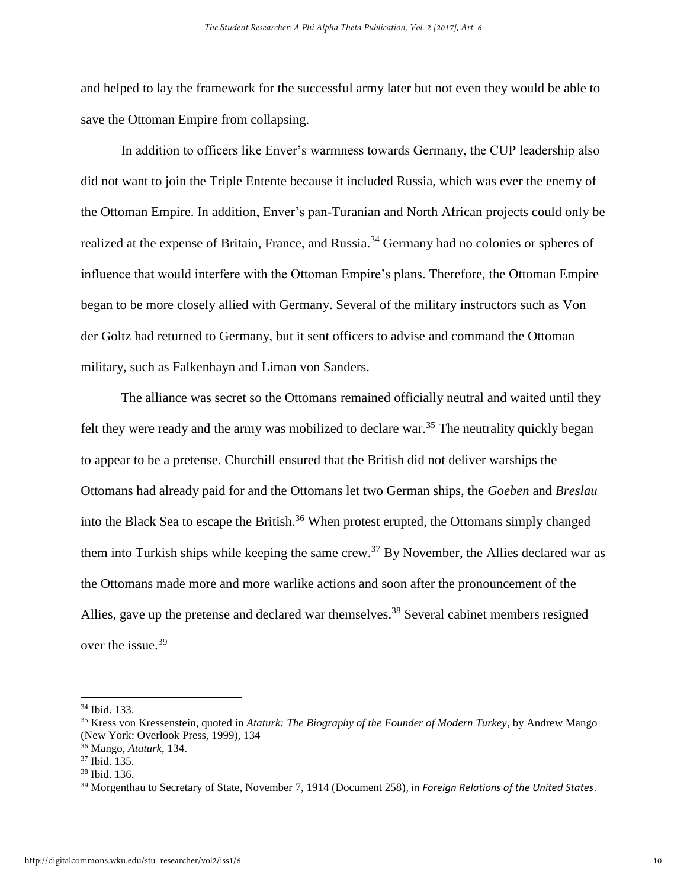and helped to lay the framework for the successful army later but not even they would be able to save the Ottoman Empire from collapsing.

In addition to officers like Enver's warmness towards Germany, the CUP leadership also did not want to join the Triple Entente because it included Russia, which was ever the enemy of the Ottoman Empire. In addition, Enver's pan-Turanian and North African projects could only be realized at the expense of Britain, France, and Russia.<sup>34</sup> Germany had no colonies or spheres of influence that would interfere with the Ottoman Empire's plans. Therefore, the Ottoman Empire began to be more closely allied with Germany. Several of the military instructors such as Von der Goltz had returned to Germany, but it sent officers to advise and command the Ottoman military, such as Falkenhayn and Liman von Sanders.

The alliance was secret so the Ottomans remained officially neutral and waited until they felt they were ready and the army was mobilized to declare war.<sup>35</sup> The neutrality quickly began to appear to be a pretense. Churchill ensured that the British did not deliver warships the Ottomans had already paid for and the Ottomans let two German ships, the *Goeben* and *Breslau* into the Black Sea to escape the British.<sup>36</sup> When protest erupted, the Ottomans simply changed them into Turkish ships while keeping the same crew.<sup>37</sup> By November, the Allies declared war as the Ottomans made more and more warlike actions and soon after the pronouncement of the Allies, gave up the pretense and declared war themselves.<sup>38</sup> Several cabinet members resigned over the issue.<sup>39</sup>

l

<sup>34</sup> Ibid. 133.

<sup>35</sup> Kress von Kressenstein, quoted in *Ataturk: The Biography of the Founder of Modern Turkey*, by Andrew Mango (New York: Overlook Press, 1999), 134

<sup>36</sup> Mango, *Ataturk*, 134.

<sup>37</sup> Ibid. 135.

<sup>38</sup> Ibid. 136.

<sup>39</sup> Morgenthau to Secretary of State, November 7, 1914 (Document 258), in *Foreign Relations of the United States*.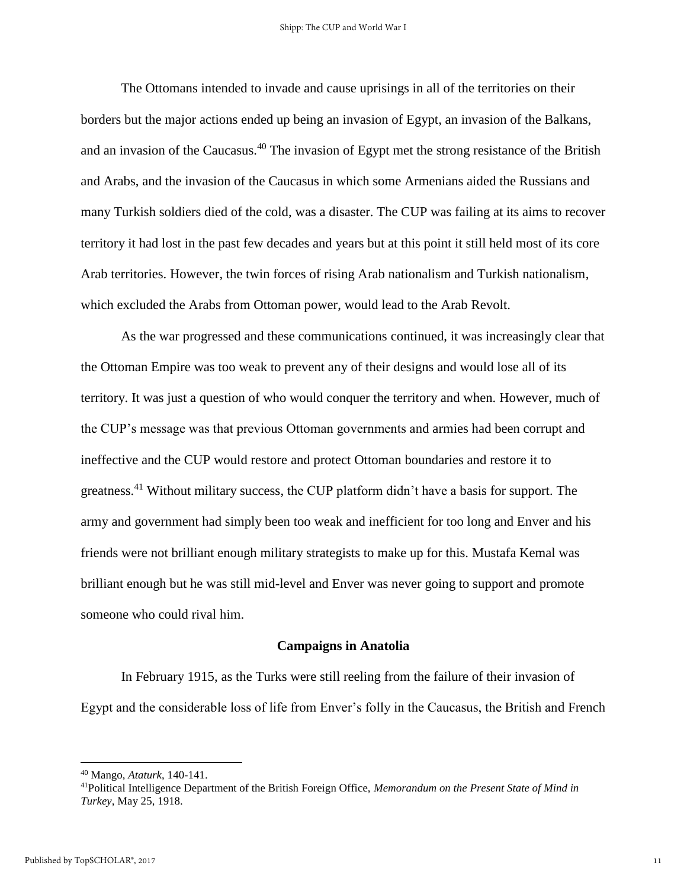The Ottomans intended to invade and cause uprisings in all of the territories on their borders but the major actions ended up being an invasion of Egypt, an invasion of the Balkans, and an invasion of the Caucasus.<sup>40</sup> The invasion of Egypt met the strong resistance of the British and Arabs, and the invasion of the Caucasus in which some Armenians aided the Russians and many Turkish soldiers died of the cold, was a disaster. The CUP was failing at its aims to recover territory it had lost in the past few decades and years but at this point it still held most of its core Arab territories. However, the twin forces of rising Arab nationalism and Turkish nationalism, which excluded the Arabs from Ottoman power, would lead to the Arab Revolt.

 As the war progressed and these communications continued, it was increasingly clear that the Ottoman Empire was too weak to prevent any of their designs and would lose all of its territory. It was just a question of who would conquer the territory and when. However, much of the CUP's message was that previous Ottoman governments and armies had been corrupt and ineffective and the CUP would restore and protect Ottoman boundaries and restore it to greatness.<sup>41</sup> Without military success, the CUP platform didn't have a basis for support. The army and government had simply been too weak and inefficient for too long and Enver and his friends were not brilliant enough military strategists to make up for this. Mustafa Kemal was brilliant enough but he was still mid-level and Enver was never going to support and promote someone who could rival him.

#### **Campaigns in Anatolia**

In February 1915, as the Turks were still reeling from the failure of their invasion of Egypt and the considerable loss of life from Enver's folly in the Caucasus, the British and French

<sup>40</sup> Mango, *Ataturk*, 140-141.

<sup>41</sup>Political Intelligence Department of the British Foreign Office, *Memorandum on the Present State of Mind in Turkey*, May 25, 1918.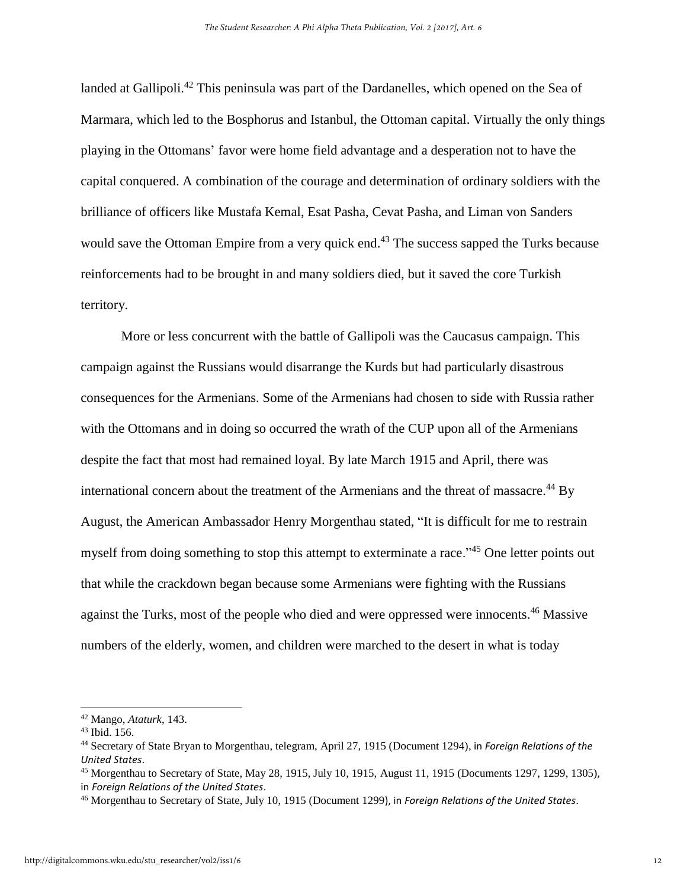landed at Gallipoli.<sup>42</sup> This peninsula was part of the Dardanelles, which opened on the Sea of Marmara, which led to the Bosphorus and Istanbul, the Ottoman capital. Virtually the only things playing in the Ottomans' favor were home field advantage and a desperation not to have the capital conquered. A combination of the courage and determination of ordinary soldiers with the brilliance of officers like Mustafa Kemal, Esat Pasha, Cevat Pasha, and Liman von Sanders would save the Ottoman Empire from a very quick end.<sup>43</sup> The success sapped the Turks because reinforcements had to be brought in and many soldiers died, but it saved the core Turkish territory.

 More or less concurrent with the battle of Gallipoli was the Caucasus campaign. This campaign against the Russians would disarrange the Kurds but had particularly disastrous consequences for the Armenians. Some of the Armenians had chosen to side with Russia rather with the Ottomans and in doing so occurred the wrath of the CUP upon all of the Armenians despite the fact that most had remained loyal. By late March 1915 and April, there was international concern about the treatment of the Armenians and the threat of massacre.<sup>44</sup> By August, the American Ambassador Henry Morgenthau stated, "It is difficult for me to restrain myself from doing something to stop this attempt to exterminate a race.<sup>45</sup> One letter points out that while the crackdown began because some Armenians were fighting with the Russians against the Turks, most of the people who died and were oppressed were innocents.<sup>46</sup> Massive numbers of the elderly, women, and children were marched to the desert in what is today

l

<sup>42</sup> Mango, *Ataturk*, 143.

<sup>43</sup> Ibid. 156.

<sup>44</sup> Secretary of State Bryan to Morgenthau, telegram, April 27, 1915 (Document 1294), in *Foreign Relations of the United States*.

<sup>45</sup> Morgenthau to Secretary of State, May 28, 1915, July 10, 1915, August 11, 1915 (Documents 1297, 1299, 1305), in *Foreign Relations of the United States*.

<sup>46</sup> Morgenthau to Secretary of State, July 10, 1915 (Document 1299), in *Foreign Relations of the United States*.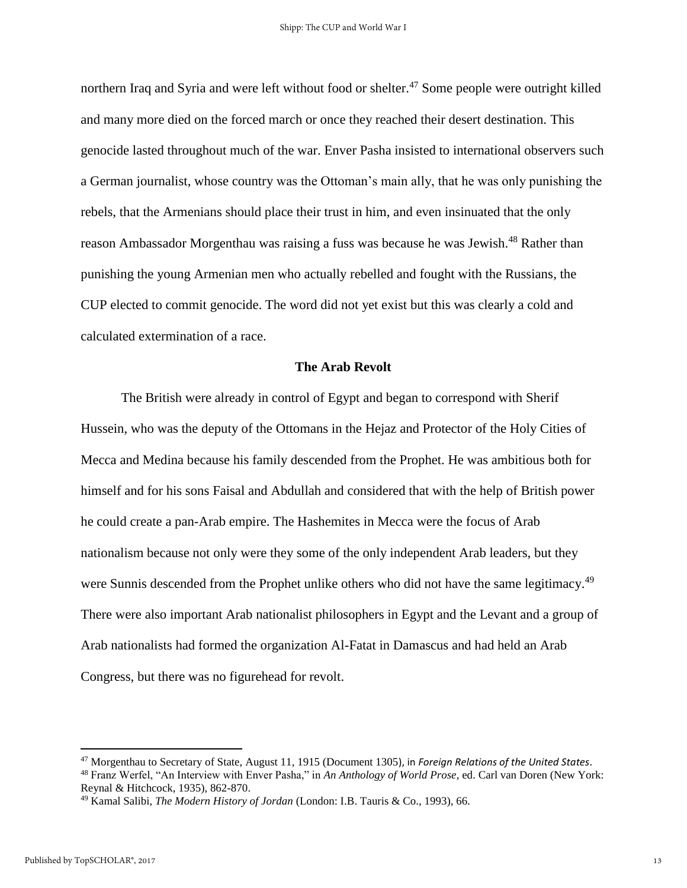northern Iraq and Syria and were left without food or shelter.<sup>47</sup> Some people were outright killed and many more died on the forced march or once they reached their desert destination. This genocide lasted throughout much of the war. Enver Pasha insisted to international observers such a German journalist, whose country was the Ottoman's main ally, that he was only punishing the rebels, that the Armenians should place their trust in him, and even insinuated that the only reason Ambassador Morgenthau was raising a fuss was because he was Jewish.<sup>48</sup> Rather than punishing the young Armenian men who actually rebelled and fought with the Russians, the CUP elected to commit genocide. The word did not yet exist but this was clearly a cold and calculated extermination of a race.

#### **The Arab Revolt**

The British were already in control of Egypt and began to correspond with Sherif Hussein, who was the deputy of the Ottomans in the Hejaz and Protector of the Holy Cities of Mecca and Medina because his family descended from the Prophet. He was ambitious both for himself and for his sons Faisal and Abdullah and considered that with the help of British power he could create a pan-Arab empire. The Hashemites in Mecca were the focus of Arab nationalism because not only were they some of the only independent Arab leaders, but they were Sunnis descended from the Prophet unlike others who did not have the same legitimacy.<sup>49</sup> There were also important Arab nationalist philosophers in Egypt and the Levant and a group of Arab nationalists had formed the organization Al-Fatat in Damascus and had held an Arab Congress, but there was no figurehead for revolt.

<sup>47</sup> Morgenthau to Secretary of State, August 11, 1915 (Document 1305), in *Foreign Relations of the United States*. <sup>48</sup> Franz Werfel, "An Interview with Enver Pasha," in *An Anthology of World Prose*, ed. Carl van Doren (New York: Reynal & Hitchcock, 1935), 862-870.

<sup>49</sup> Kamal Salibi, *The Modern History of Jordan* (London: I.B. Tauris & Co., 1993), 66.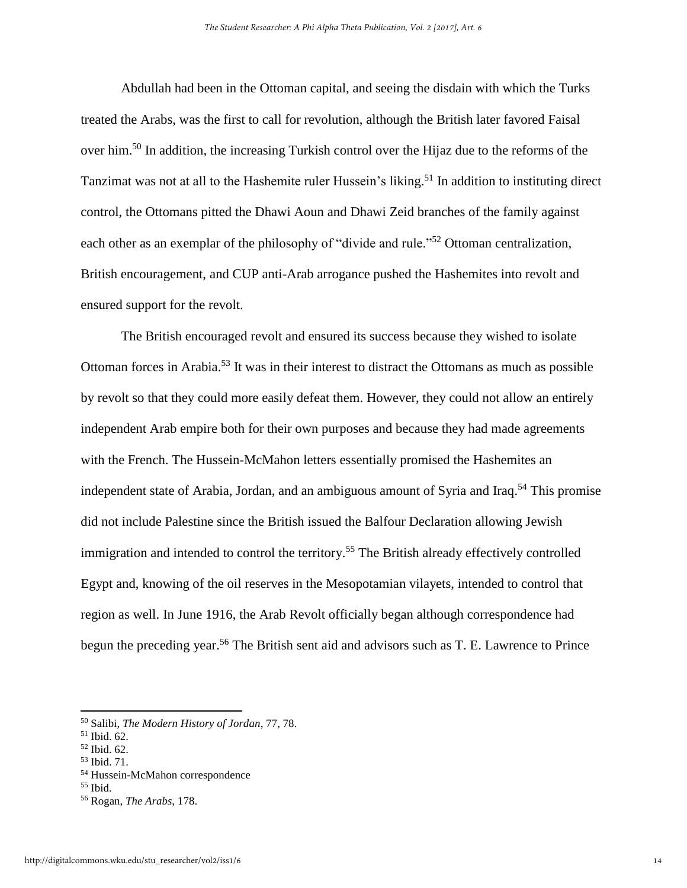Abdullah had been in the Ottoman capital, and seeing the disdain with which the Turks treated the Arabs, was the first to call for revolution, although the British later favored Faisal over him.<sup>50</sup> In addition, the increasing Turkish control over the Hijaz due to the reforms of the Tanzimat was not at all to the Hashemite ruler Hussein's liking.<sup>51</sup> In addition to instituting direct control, the Ottomans pitted the Dhawi Aoun and Dhawi Zeid branches of the family against each other as an exemplar of the philosophy of "divide and rule."<sup>52</sup> Ottoman centralization, British encouragement, and CUP anti-Arab arrogance pushed the Hashemites into revolt and ensured support for the revolt.

The British encouraged revolt and ensured its success because they wished to isolate Ottoman forces in Arabia.<sup>53</sup> It was in their interest to distract the Ottomans as much as possible by revolt so that they could more easily defeat them. However, they could not allow an entirely independent Arab empire both for their own purposes and because they had made agreements with the French. The Hussein-McMahon letters essentially promised the Hashemites an independent state of Arabia, Jordan, and an ambiguous amount of Syria and Iraq.<sup>54</sup> This promise did not include Palestine since the British issued the Balfour Declaration allowing Jewish immigration and intended to control the territory.<sup>55</sup> The British already effectively controlled Egypt and, knowing of the oil reserves in the Mesopotamian vilayets, intended to control that region as well. In June 1916, the Arab Revolt officially began although correspondence had begun the preceding year.<sup>56</sup> The British sent aid and advisors such as T. E. Lawrence to Prince

<sup>50</sup> Salibi, *The Modern History of Jordan*, 77, 78.

<sup>51</sup> Ibid. 62.

<sup>52</sup> Ibid. 62. <sup>53</sup> Ibid. 71.

<sup>54</sup> Hussein-McMahon correspondence

 $55$  Ibid.

<sup>56</sup> Rogan, *The Arabs*, 178.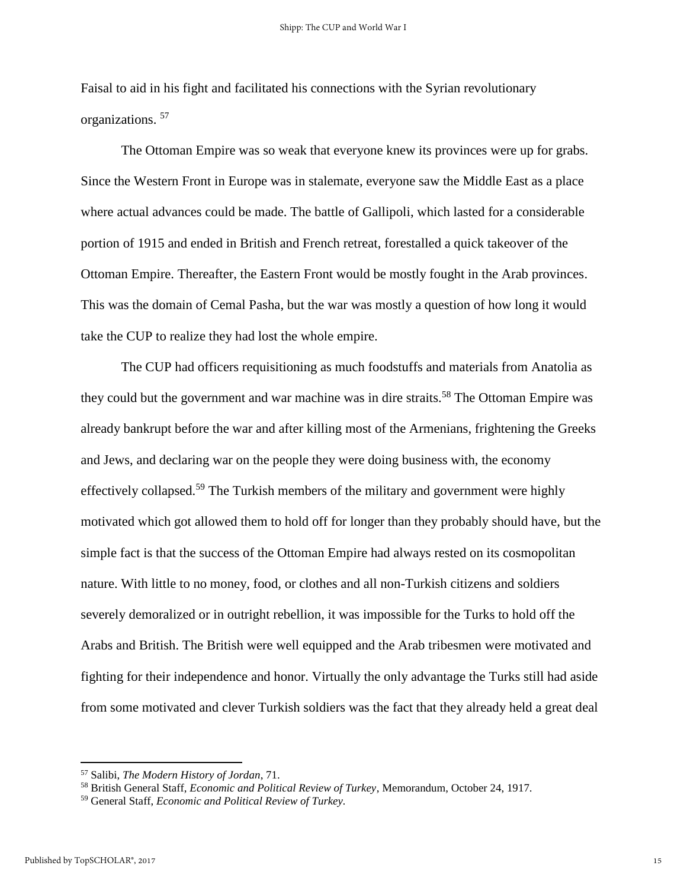Faisal to aid in his fight and facilitated his connections with the Syrian revolutionary organizations. <sup>57</sup>

The Ottoman Empire was so weak that everyone knew its provinces were up for grabs. Since the Western Front in Europe was in stalemate, everyone saw the Middle East as a place where actual advances could be made. The battle of Gallipoli, which lasted for a considerable portion of 1915 and ended in British and French retreat, forestalled a quick takeover of the Ottoman Empire. Thereafter, the Eastern Front would be mostly fought in the Arab provinces. This was the domain of Cemal Pasha, but the war was mostly a question of how long it would take the CUP to realize they had lost the whole empire.

 The CUP had officers requisitioning as much foodstuffs and materials from Anatolia as they could but the government and war machine was in dire straits.<sup>58</sup> The Ottoman Empire was already bankrupt before the war and after killing most of the Armenians, frightening the Greeks and Jews, and declaring war on the people they were doing business with, the economy effectively collapsed.<sup>59</sup> The Turkish members of the military and government were highly motivated which got allowed them to hold off for longer than they probably should have, but the simple fact is that the success of the Ottoman Empire had always rested on its cosmopolitan nature. With little to no money, food, or clothes and all non-Turkish citizens and soldiers severely demoralized or in outright rebellion, it was impossible for the Turks to hold off the Arabs and British. The British were well equipped and the Arab tribesmen were motivated and fighting for their independence and honor. Virtually the only advantage the Turks still had aside from some motivated and clever Turkish soldiers was the fact that they already held a great deal

<sup>57</sup> Salibi, *The Modern History of Jordan*, 71.

<sup>58</sup> British General Staff, *Economic and Political Review of Turkey*, Memorandum, October 24, 1917.

<sup>59</sup> General Staff, *Economic and Political Review of Turkey.*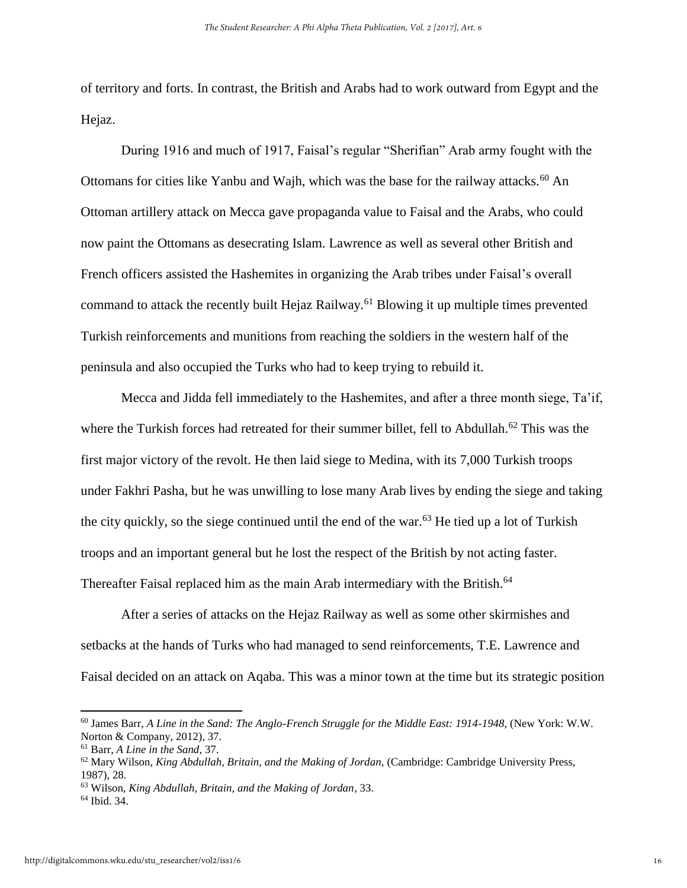of territory and forts. In contrast, the British and Arabs had to work outward from Egypt and the Hejaz.

During 1916 and much of 1917, Faisal's regular "Sherifian" Arab army fought with the Ottomans for cities like Yanbu and Wajh, which was the base for the railway attacks.<sup>60</sup> An Ottoman artillery attack on Mecca gave propaganda value to Faisal and the Arabs, who could now paint the Ottomans as desecrating Islam. Lawrence as well as several other British and French officers assisted the Hashemites in organizing the Arab tribes under Faisal's overall command to attack the recently built Hejaz Railway.<sup>61</sup> Blowing it up multiple times prevented Turkish reinforcements and munitions from reaching the soldiers in the western half of the peninsula and also occupied the Turks who had to keep trying to rebuild it.

Mecca and Jidda fell immediately to the Hashemites, and after a three month siege, Ta'if, where the Turkish forces had retreated for their summer billet, fell to Abdullah.<sup>62</sup> This was the first major victory of the revolt. He then laid siege to Medina, with its 7,000 Turkish troops under Fakhri Pasha, but he was unwilling to lose many Arab lives by ending the siege and taking the city quickly, so the siege continued until the end of the war.<sup>63</sup> He tied up a lot of Turkish troops and an important general but he lost the respect of the British by not acting faster. Thereafter Faisal replaced him as the main Arab intermediary with the British.<sup>64</sup>

After a series of attacks on the Hejaz Railway as well as some other skirmishes and setbacks at the hands of Turks who had managed to send reinforcements, T.E. Lawrence and Faisal decided on an attack on Aqaba. This was a minor town at the time but its strategic position

<sup>60</sup> James Barr, *A Line in the Sand: The Anglo-French Struggle for the Middle East: 1914-1948*, (New York: W.W. Norton & Company, 2012), 37.

<sup>61</sup> Barr, *A Line in the Sand*, 37.

<sup>62</sup> Mary Wilson, *King Abdullah, Britain, and the Making of Jordan*, (Cambridge: Cambridge University Press, 1987), 28.

<sup>63</sup> Wilson, *King Abdullah, Britain, and the Making of Jordan*, 33.

<sup>64</sup> Ibid. 34.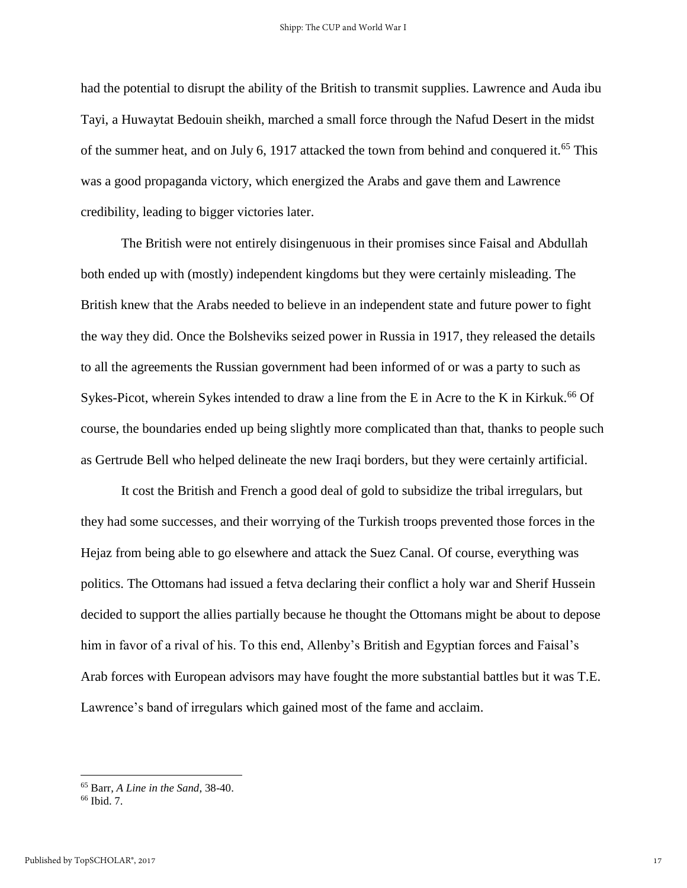had the potential to disrupt the ability of the British to transmit supplies. Lawrence and Auda ibu Tayi, a Huwaytat Bedouin sheikh, marched a small force through the Nafud Desert in the midst of the summer heat, and on July 6, 1917 attacked the town from behind and conquered it.<sup>65</sup> This was a good propaganda victory, which energized the Arabs and gave them and Lawrence credibility, leading to bigger victories later.

The British were not entirely disingenuous in their promises since Faisal and Abdullah both ended up with (mostly) independent kingdoms but they were certainly misleading. The British knew that the Arabs needed to believe in an independent state and future power to fight the way they did. Once the Bolsheviks seized power in Russia in 1917, they released the details to all the agreements the Russian government had been informed of or was a party to such as Sykes-Picot, wherein Sykes intended to draw a line from the E in Acre to the K in Kirkuk.<sup>66</sup> Of course, the boundaries ended up being slightly more complicated than that, thanks to people such as Gertrude Bell who helped delineate the new Iraqi borders, but they were certainly artificial.

It cost the British and French a good deal of gold to subsidize the tribal irregulars, but they had some successes, and their worrying of the Turkish troops prevented those forces in the Hejaz from being able to go elsewhere and attack the Suez Canal. Of course, everything was politics. The Ottomans had issued a fetva declaring their conflict a holy war and Sherif Hussein decided to support the allies partially because he thought the Ottomans might be about to depose him in favor of a rival of his. To this end, Allenby's British and Egyptian forces and Faisal's Arab forces with European advisors may have fought the more substantial battles but it was T.E. Lawrence's band of irregulars which gained most of the fame and acclaim.

<sup>65</sup> Barr, *A Line in the Sand*, 38-40.

<sup>66</sup> Ibid. 7.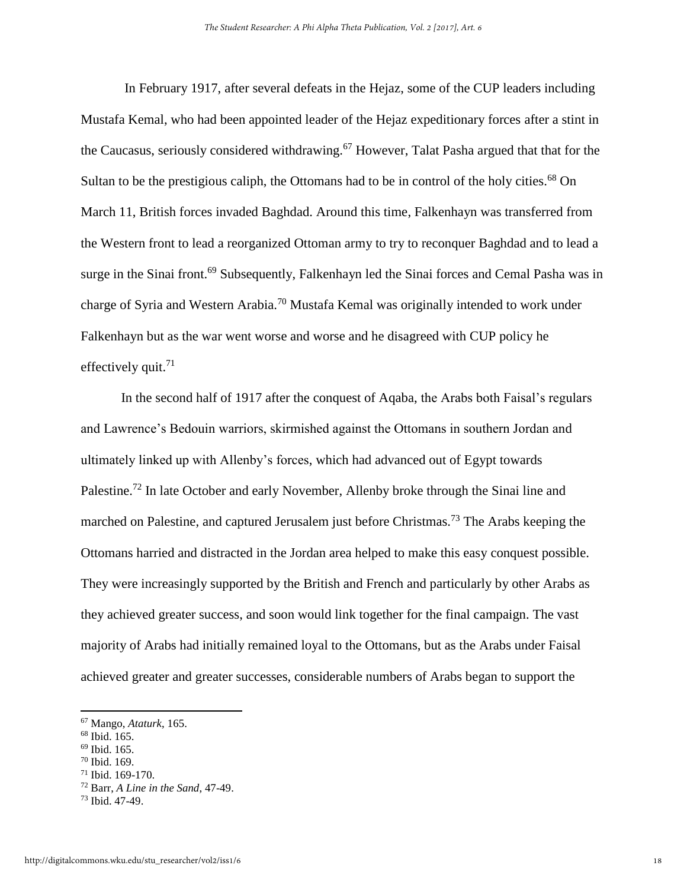In February 1917, after several defeats in the Hejaz, some of the CUP leaders including Mustafa Kemal, who had been appointed leader of the Hejaz expeditionary forces after a stint in the Caucasus, seriously considered withdrawing.<sup>67</sup> However, Talat Pasha argued that that for the Sultan to be the prestigious caliph, the Ottomans had to be in control of the holy cities.<sup>68</sup> On March 11, British forces invaded Baghdad. Around this time, Falkenhayn was transferred from the Western front to lead a reorganized Ottoman army to try to reconquer Baghdad and to lead a surge in the Sinai front.<sup>69</sup> Subsequently, Falkenhayn led the Sinai forces and Cemal Pasha was in charge of Syria and Western Arabia.<sup>70</sup> Mustafa Kemal was originally intended to work under Falkenhayn but as the war went worse and worse and he disagreed with CUP policy he effectively quit.<sup>71</sup>

In the second half of 1917 after the conquest of Aqaba, the Arabs both Faisal's regulars and Lawrence's Bedouin warriors, skirmished against the Ottomans in southern Jordan and ultimately linked up with Allenby's forces, which had advanced out of Egypt towards Palestine.<sup>72</sup> In late October and early November, Allenby broke through the Sinai line and marched on Palestine, and captured Jerusalem just before Christmas.<sup>73</sup> The Arabs keeping the Ottomans harried and distracted in the Jordan area helped to make this easy conquest possible. They were increasingly supported by the British and French and particularly by other Arabs as they achieved greater success, and soon would link together for the final campaign. The vast majority of Arabs had initially remained loyal to the Ottomans, but as the Arabs under Faisal achieved greater and greater successes, considerable numbers of Arabs began to support the

<sup>67</sup> Mango, *Ataturk*, 165.

 $68$  Ibid. 165.

<sup>69</sup> Ibid. 165.

<sup>70</sup> Ibid. 169.

<sup>71</sup> Ibid. 169-170.

<sup>72</sup> Barr, *A Line in the Sand*, 47-49.

<sup>73</sup> Ibid. 47-49.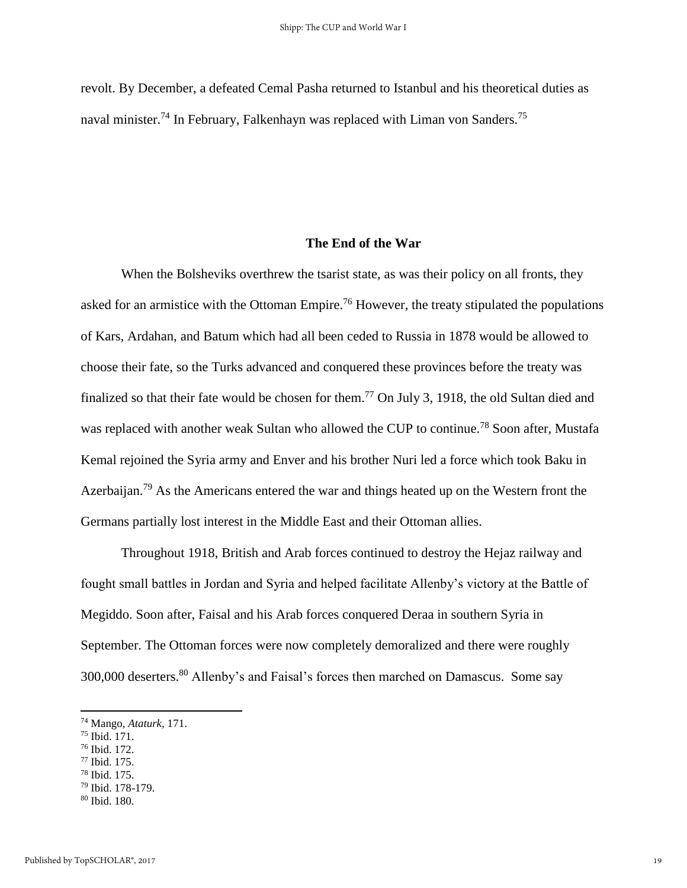revolt. By December, a defeated Cemal Pasha returned to Istanbul and his theoretical duties as naval minister.<sup>74</sup> In February, Falkenhayn was replaced with Liman von Sanders.<sup>75</sup>

#### **The End of the War**

When the Bolsheviks overthrew the tsarist state, as was their policy on all fronts, they asked for an armistice with the Ottoman Empire.<sup>76</sup> However, the treaty stipulated the populations of Kars, Ardahan, and Batum which had all been ceded to Russia in 1878 would be allowed to choose their fate, so the Turks advanced and conquered these provinces before the treaty was finalized so that their fate would be chosen for them.<sup>77</sup> On July 3, 1918, the old Sultan died and was replaced with another weak Sultan who allowed the CUP to continue.<sup>78</sup> Soon after, Mustafa Kemal rejoined the Syria army and Enver and his brother Nuri led a force which took Baku in Azerbaijan.<sup>79</sup> As the Americans entered the war and things heated up on the Western front the Germans partially lost interest in the Middle East and their Ottoman allies.

Throughout 1918, British and Arab forces continued to destroy the Hejaz railway and fought small battles in Jordan and Syria and helped facilitate Allenby's victory at the Battle of Megiddo. Soon after, Faisal and his Arab forces conquered Deraa in southern Syria in September. The Ottoman forces were now completely demoralized and there were roughly 300,000 deserters.<sup>80</sup> Allenby's and Faisal's forces then marched on Damascus. Some say

<sup>74</sup> Mango, *Ataturk*, 171.

<sup>75</sup> Ibid. 171.

<sup>76</sup> Ibid. 172.

<sup>77</sup> Ibid. 175.

<sup>78</sup> Ibid. 175.

<sup>79</sup> Ibid. 178-179.

<sup>80</sup> Ibid. 180.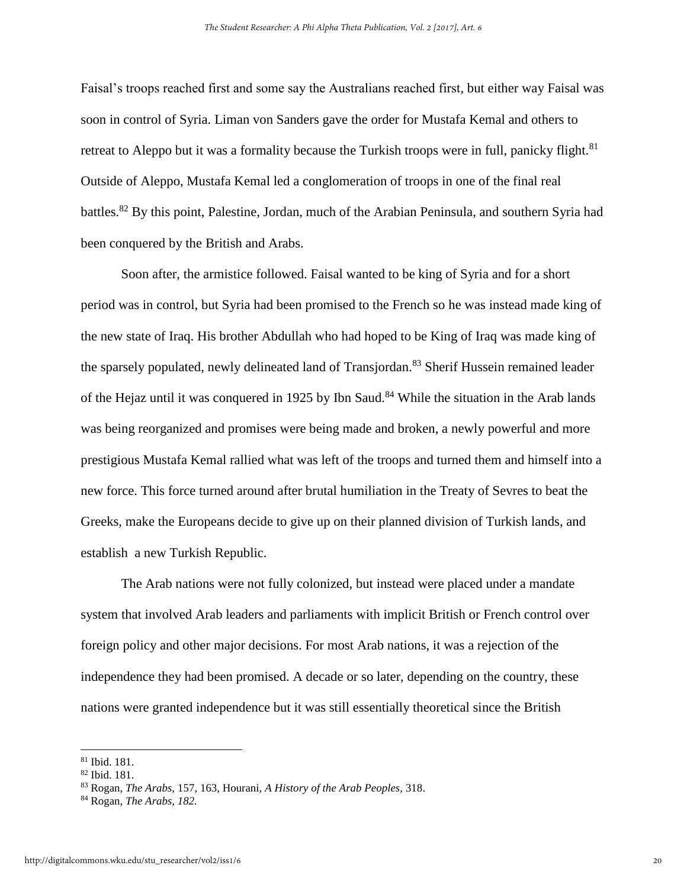Faisal's troops reached first and some say the Australians reached first, but either way Faisal was soon in control of Syria. Liman von Sanders gave the order for Mustafa Kemal and others to retreat to Aleppo but it was a formality because the Turkish troops were in full, panicky flight.<sup>81</sup> Outside of Aleppo, Mustafa Kemal led a conglomeration of troops in one of the final real battles.<sup>82</sup> By this point, Palestine, Jordan, much of the Arabian Peninsula, and southern Syria had been conquered by the British and Arabs.

Soon after, the armistice followed. Faisal wanted to be king of Syria and for a short period was in control, but Syria had been promised to the French so he was instead made king of the new state of Iraq. His brother Abdullah who had hoped to be King of Iraq was made king of the sparsely populated, newly delineated land of Transjordan.<sup>83</sup> Sherif Hussein remained leader of the Hejaz until it was conquered in 1925 by Ibn Saud.<sup>84</sup> While the situation in the Arab lands was being reorganized and promises were being made and broken, a newly powerful and more prestigious Mustafa Kemal rallied what was left of the troops and turned them and himself into a new force. This force turned around after brutal humiliation in the Treaty of Sevres to beat the Greeks, make the Europeans decide to give up on their planned division of Turkish lands, and establish a new Turkish Republic.

The Arab nations were not fully colonized, but instead were placed under a mandate system that involved Arab leaders and parliaments with implicit British or French control over foreign policy and other major decisions. For most Arab nations, it was a rejection of the independence they had been promised. A decade or so later, depending on the country, these nations were granted independence but it was still essentially theoretical since the British

<sup>81</sup> Ibid. 181.

<sup>82</sup> Ibid. 181.

<sup>83</sup> Rogan, *The Arabs*, 157, 163, Hourani, *A History of the Arab Peoples,* 318.

<sup>84</sup> Rogan, *The Arabs, 182.*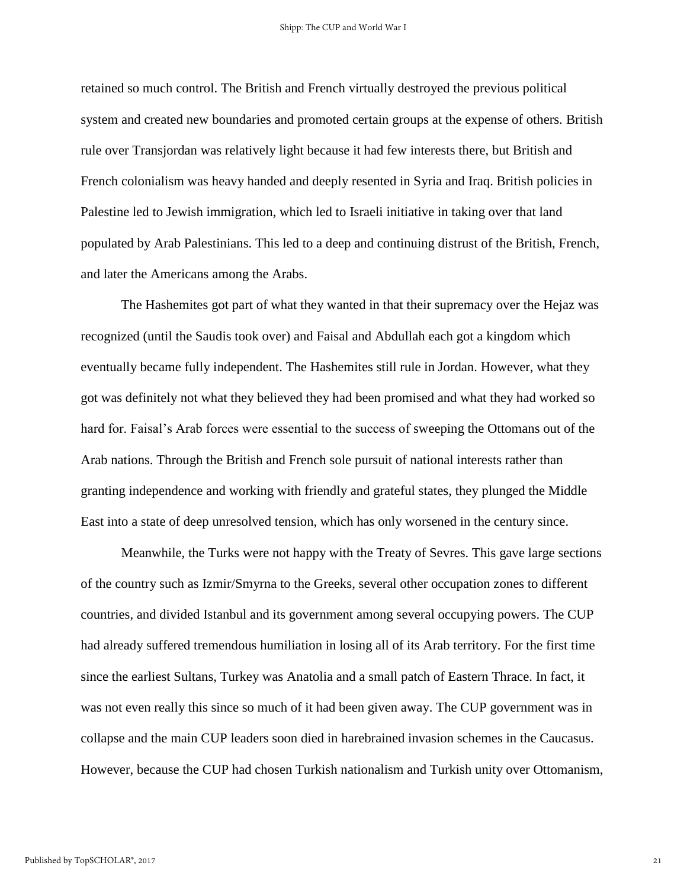retained so much control. The British and French virtually destroyed the previous political system and created new boundaries and promoted certain groups at the expense of others. British rule over Transjordan was relatively light because it had few interests there, but British and French colonialism was heavy handed and deeply resented in Syria and Iraq. British policies in Palestine led to Jewish immigration, which led to Israeli initiative in taking over that land populated by Arab Palestinians. This led to a deep and continuing distrust of the British, French, and later the Americans among the Arabs.

The Hashemites got part of what they wanted in that their supremacy over the Hejaz was recognized (until the Saudis took over) and Faisal and Abdullah each got a kingdom which eventually became fully independent. The Hashemites still rule in Jordan. However, what they got was definitely not what they believed they had been promised and what they had worked so hard for. Faisal's Arab forces were essential to the success of sweeping the Ottomans out of the Arab nations. Through the British and French sole pursuit of national interests rather than granting independence and working with friendly and grateful states, they plunged the Middle East into a state of deep unresolved tension, which has only worsened in the century since.

Meanwhile, the Turks were not happy with the Treaty of Sevres. This gave large sections of the country such as Izmir/Smyrna to the Greeks, several other occupation zones to different countries, and divided Istanbul and its government among several occupying powers. The CUP had already suffered tremendous humiliation in losing all of its Arab territory. For the first time since the earliest Sultans, Turkey was Anatolia and a small patch of Eastern Thrace. In fact, it was not even really this since so much of it had been given away. The CUP government was in collapse and the main CUP leaders soon died in harebrained invasion schemes in the Caucasus. However, because the CUP had chosen Turkish nationalism and Turkish unity over Ottomanism,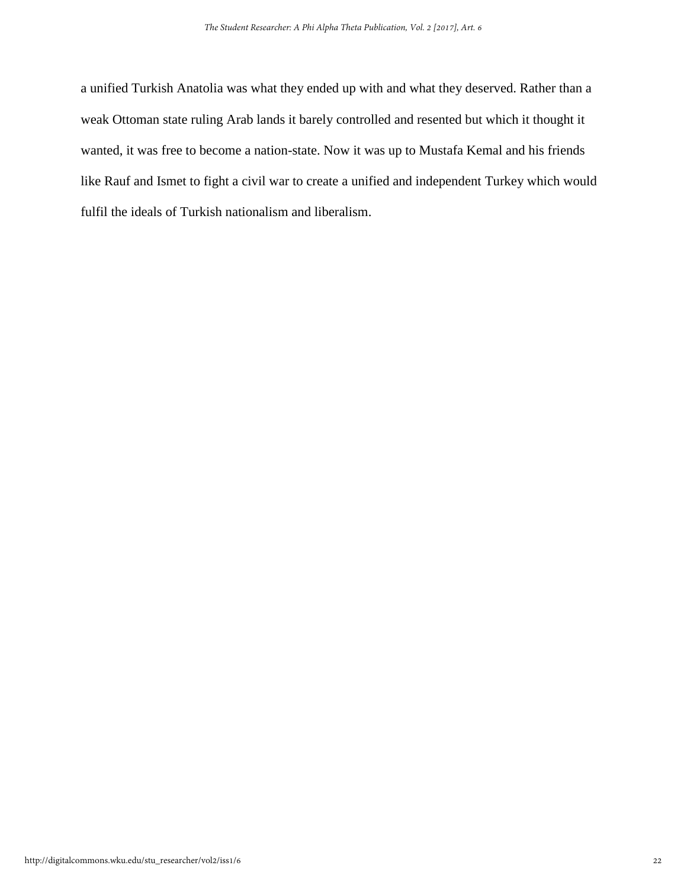a unified Turkish Anatolia was what they ended up with and what they deserved. Rather than a weak Ottoman state ruling Arab lands it barely controlled and resented but which it thought it wanted, it was free to become a nation-state. Now it was up to Mustafa Kemal and his friends like Rauf and Ismet to fight a civil war to create a unified and independent Turkey which would fulfil the ideals of Turkish nationalism and liberalism.